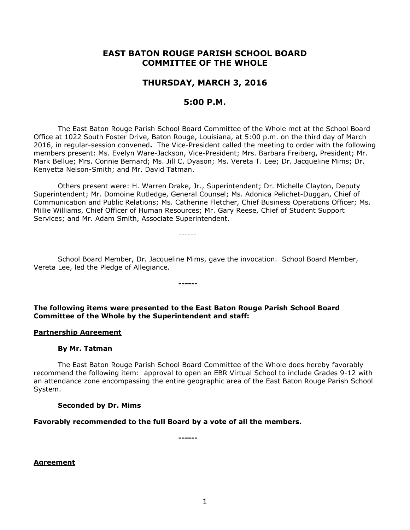# **EAST BATON ROUGE PARISH SCHOOL BOARD COMMITTEE OF THE WHOLE**

# **THURSDAY, MARCH 3, 2016**

# **5:00 P.M.**

The East Baton Rouge Parish School Board Committee of the Whole met at the School Board Office at 1022 South Foster Drive, Baton Rouge, Louisiana, at 5:00 p.m. on the third day of March 2016, in regular-session convened**.** The Vice-President called the meeting to order with the following members present: Ms. Evelyn Ware-Jackson, Vice-President; Mrs. Barbara Freiberg, President; Mr. Mark Bellue; Mrs. Connie Bernard; Ms. Jill C. Dyason; Ms. Vereta T. Lee; Dr. Jacqueline Mims; Dr. Kenyetta Nelson-Smith; and Mr. David Tatman.

Others present were: H. Warren Drake, Jr., Superintendent; Dr. Michelle Clayton, Deputy Superintendent; Mr. Domoine Rutledge, General Counsel; Ms. Adonica Pelichet-Duggan, Chief of Communication and Public Relations; Ms. Catherine Fletcher, Chief Business Operations Officer; Ms. Millie Williams, Chief Officer of Human Resources; Mr. Gary Reese, Chief of Student Support Services; and Mr. Adam Smith, Associate Superintendent.

------

School Board Member, Dr. Jacqueline Mims, gave the invocation. School Board Member, Vereta Lee, led the Pledge of Allegiance.

**The following items were presented to the East Baton Rouge Parish School Board Committee of the Whole by the Superintendent and staff:**

**------**

#### **Partnership Agreement**

### **By Mr. Tatman**

The East Baton Rouge Parish School Board Committee of the Whole does hereby favorably recommend the following item: approval to open an EBR Virtual School to include Grades 9-12 with an attendance zone encompassing the entire geographic area of the East Baton Rouge Parish School System.

#### **Seconded by Dr. Mims**

#### **Favorably recommended to the full Board by a vote of all the members.**

**------**

**Agreement**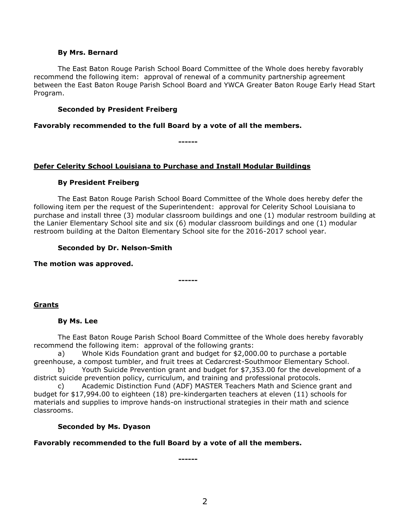#### **By Mrs. Bernard**

The East Baton Rouge Parish School Board Committee of the Whole does hereby favorably recommend the following item: approval of renewal of a community partnership agreement between the East Baton Rouge Parish School Board and YWCA Greater Baton Rouge Early Head Start Program.

### **Seconded by President Freiberg**

**Favorably recommended to the full Board by a vote of all the members.**

**------**

## **Defer Celerity School Louisiana to Purchase and Install Modular Buildings**

### **By President Freiberg**

The East Baton Rouge Parish School Board Committee of the Whole does hereby defer the following item per the request of the Superintendent: approval for Celerity School Louisiana to purchase and install three (3) modular classroom buildings and one (1) modular restroom building at the Lanier Elementary School site and six (6) modular classroom buildings and one (1) modular restroom building at the Dalton Elementary School site for the 2016-2017 school year.

### **Seconded by Dr. Nelson-Smith**

**The motion was approved.**

# **Grants**

### **By Ms. Lee**

The East Baton Rouge Parish School Board Committee of the Whole does hereby favorably recommend the following item: approval of the following grants:

a) Whole Kids Foundation grant and budget for \$2,000.00 to purchase a portable greenhouse, a compost tumbler, and fruit trees at Cedarcrest-Southmoor Elementary School.

**------**

b) Youth Suicide Prevention grant and budget for \$7,353.00 for the development of a district suicide prevention policy, curriculum, and training and professional protocols.

c) Academic Distinction Fund (ADF) MASTER Teachers Math and Science grant and budget for \$17,994.00 to eighteen (18) pre-kindergarten teachers at eleven (11) schools for materials and supplies to improve hands-on instructional strategies in their math and science classrooms.

### **Seconded by Ms. Dyason**

### **Favorably recommended to the full Board by a vote of all the members.**

**------**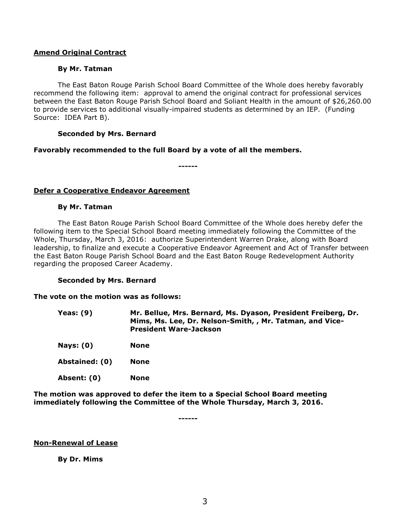#### **Amend Original Contract**

#### **By Mr. Tatman**

The East Baton Rouge Parish School Board Committee of the Whole does hereby favorably recommend the following item: approval to amend the original contract for professional services between the East Baton Rouge Parish School Board and Soliant Health in the amount of \$26,260.00 to provide services to additional visually-impaired students as determined by an IEP. (Funding Source: IDEA Part B).

#### **Seconded by Mrs. Bernard**

#### **Favorably recommended to the full Board by a vote of all the members.**

**------**

### **Defer a Cooperative Endeavor Agreement**

#### **By Mr. Tatman**

The East Baton Rouge Parish School Board Committee of the Whole does hereby defer the following item to the Special School Board meeting immediately following the Committee of the Whole, Thursday, March 3, 2016: authorize Superintendent Warren Drake, along with Board leadership, to finalize and execute a Cooperative Endeavor Agreement and Act of Transfer between the East Baton Rouge Parish School Board and the East Baton Rouge Redevelopment Authority regarding the proposed Career Academy.

### **Seconded by Mrs. Bernard**

#### **The vote on the motion was as follows:**

**Yeas: (9) Mr. Bellue, Mrs. Bernard, Ms. Dyason, President Freiberg, Dr. Mims, Ms. Lee, Dr. Nelson-Smith, , Mr. Tatman, and Vice-President Ware-Jackson**

- **Nays: (0) None**
- **Abstained: (0) None**
- **Absent: (0) None**

**The motion was approved to defer the item to a Special School Board meeting immediately following the Committee of the Whole Thursday, March 3, 2016.**

**------**

#### **Non-Renewal of Lease**

### **By Dr. Mims**